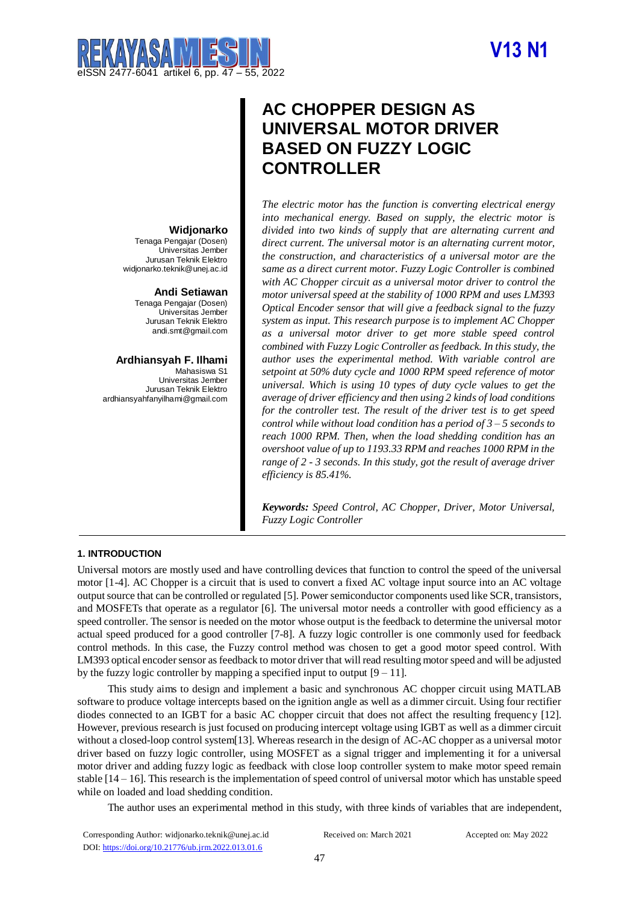# **V13 N1**



# **AC CHOPPER DESIGN AS UNIVERSAL MOTOR DRIVER BASED ON FUZZY LOGIC CONTROLLER**

*The electric motor has the function is converting electrical energy into mechanical energy. Based on supply, the electric motor is divided into two kinds of supply that are alternating current and direct current. The universal motor is an alternating current motor, the construction, and characteristics of a universal motor are the same as a direct current motor. Fuzzy Logic Controller is combined with AC Chopper circuit as a universal motor driver to control the motor universal speed at the stability of 1000 RPM and uses LM393 Optical Encoder sensor that will give a feedback signal to the fuzzy system as input. This research purpose is to implement AC Chopper as a universal motor driver to get more stable speed control combined with Fuzzy Logic Controller as feedback. In this study, the author uses the experimental method. With variable control are setpoint at 50% duty cycle and 1000 RPM speed reference of motor universal. Which is using 10 types of duty cycle values to get the average of driver efficiency and then using 2 kinds of load conditions for the controller test. The result of the driver test is to get speed control while without load condition has a period of 3 – 5 seconds to reach 1000 RPM. Then, when the load shedding condition has an overshoot value of up to 1193.33 RPM and reaches 1000 RPM in the range of 2 - 3 seconds. In this study, got the result of average driver efficiency is 85.41%.*

*Keywords: Speed Control, AC Chopper, Driver, Motor Universal, Fuzzy Logic Controller*

## **Widjonarko**

Tenaga Pengajar (Dosen) Universitas Jember Jurusan Teknik Elektro widjonarko.teknik@unej.ac.id

#### **Andi Setiawan**

Tenaga Pengajar (Dosen) Universitas Jember Jurusan Teknik Elektro andi.smt@gmail.com

**Ardhiansyah F. Ilhami** Mahasiswa S1 Universitas Jember Jurusan Teknik Elektro ardhiansyahfanyilhami@gmail.com

### **1. INTRODUCTION**

Universal motors are mostly used and have controlling devices that function to control the speed of the universal motor [1-4]. AC Chopper is a circuit that is used to convert a fixed AC voltage input source into an AC voltage output source that can be controlled or regulated [5]. Power semiconductor components used like SCR, transistors, and MOSFETs that operate as a regulator [6]. The universal motor needs a controller with good efficiency as a speed controller. The sensor is needed on the motor whose output is the feedback to determine the universal motor actual speed produced for a good controller [7-8]. A fuzzy logic controller is one commonly used for feedback control methods. In this case, the Fuzzy control method was chosen to get a good motor speed control. With LM393 optical encoder sensor as feedback to motor driver that will read resulting motor speed and will be adjusted by the fuzzy logic controller by mapping a specified input to output  $[9 - 11]$ .

This study aims to design and implement a basic and synchronous AC chopper circuit using MATLAB software to produce voltage intercepts based on the ignition angle as well as a dimmer circuit. Using four rectifier diodes connected to an IGBT for a basic AC chopper circuit that does not affect the resulting frequency [12]. However, previous research is just focused on producing intercept voltage using IGBT as well as a dimmer circuit without a closed-loop control system[13]. Whereas research in the design of AC-AC chopper as a universal motor driver based on fuzzy logic controller, using MOSFET as a signal trigger and implementing it for a universal motor driver and adding fuzzy logic as feedback with close loop controller system to make motor speed remain stable  $[14 - 16]$ . This research is the implementation of speed control of universal motor which has unstable speed while on loaded and load shedding condition.

The author uses an experimental method in this study, with three kinds of variables that are independent,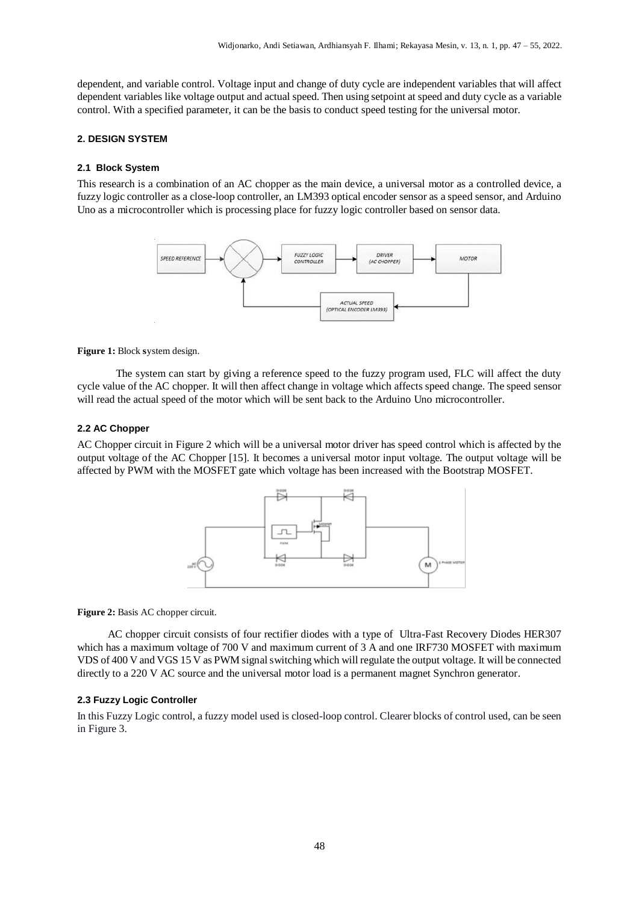dependent, and variable control. Voltage input and change of duty cycle are independent variables that will affect dependent variables like voltage output and actual speed. Then using setpoint at speed and duty cycle as a variable control. With a specified parameter, it can be the basis to conduct speed testing for the universal motor.

#### **2. DESIGN SYSTEM**

#### **2.1 Block System**

This research is a combination of an AC chopper as the main device, a universal motor as a controlled device, a fuzzy logic controller as a close-loop controller, an LM393 optical encoder sensor as a speed sensor, and Arduino Uno as a microcontroller which is processing place for fuzzy logic controller based on sensor data.



**Figure 1:** Block **s**ystem design.

The system can start by giving a reference speed to the fuzzy program used, FLC will affect the duty cycle value of the AC chopper. It will then affect change in voltage which affects speed change. The speed sensor will read the actual speed of the motor which will be sent back to the Arduino Uno microcontroller.

#### **2.2 AC Chopper**

AC Chopper circuit in Figure 2 which will be a universal motor driver has speed control which is affected by the output voltage of the AC Chopper [15]. It becomes a universal motor input voltage. The output voltage will be affected by PWM with the MOSFET gate which voltage has been increased with the Bootstrap MOSFET.



Figure 2: Basis AC chopper circuit.

AC chopper circuit consists of four rectifier diodes with a type of Ultra-Fast Recovery Diodes HER307 which has a maximum voltage of 700 V and maximum current of 3 A and one IRF730 MOSFET with maximum VDS of 400 V and VGS 15 V as PWM signal switching which will regulate the output voltage. It will be connected directly to a 220 V AC source and the universal motor load is a permanent magnet Synchron generator.

#### **2.3 Fuzzy Logic Controller**

In this Fuzzy Logic control, a fuzzy model used is closed-loop control. Clearer blocks of control used, can be seen in Figure 3.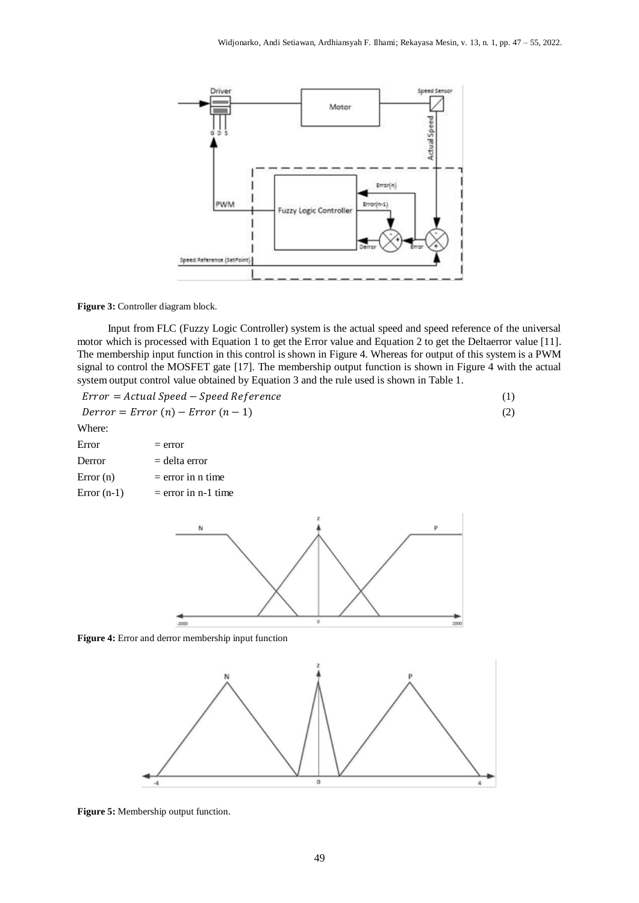

**Figure 3:** Controller diagram block.

Input from FLC (Fuzzy Logic Controller) system is the actual speed and speed reference of the universal motor which is processed with Equation 1 to get the Error value and Equation 2 to get the Deltaerror value [11]. The membership input function in this control is shown in Figure 4. Whereas for output of this system is a PWM signal to control the MOSFET gate [17]. The membership output function is shown in Figure 4 with the actual system output control value obtained by Equation 3 and the rule used is shown in Table 1.

| $Error = Actual Speed - Speed Reference$ |  |  |  |
|------------------------------------------|--|--|--|
|------------------------------------------|--|--|--|

$$
Derror = Error (n) - Error (n - 1)
$$
\n(2)

Where:

| Error         | $=$ error             |
|---------------|-----------------------|
| Derror        | $=$ delta error       |
| Error (n)     | $=$ error in n time   |
| Error $(n-1)$ | $=$ error in n-1 time |



**Figure 4:** Error and derror membership input function



**Figure 5:** Membership output function.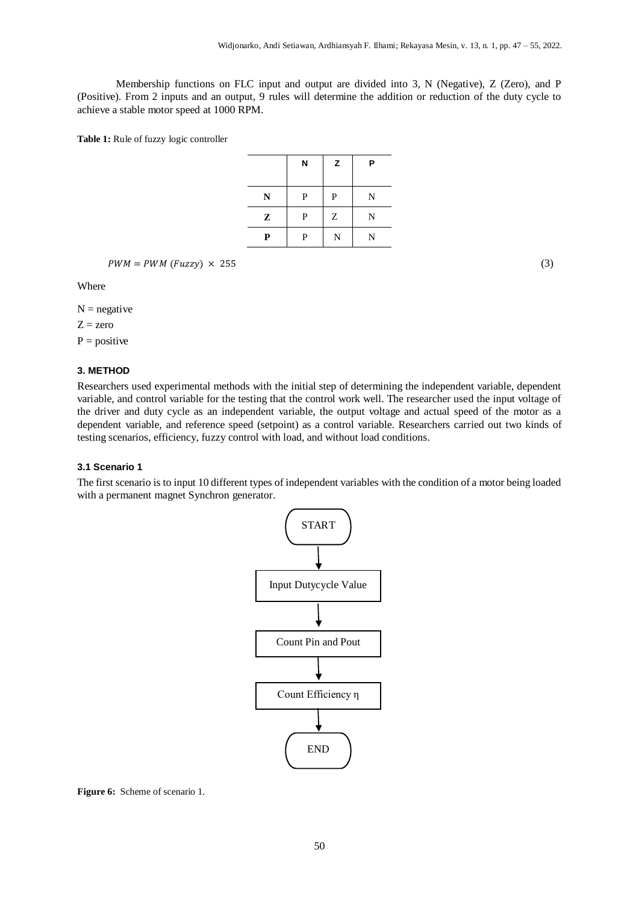Membership functions on FLC input and output are divided into 3, N (Negative), Z (Zero), and P (Positive). From 2 inputs and an output, 9 rules will determine the addition or reduction of the duty cycle to achieve a stable motor speed at 1000 RPM.

**Table 1:** Rule of fuzzy logic controller

|              | N | z | P |
|--------------|---|---|---|
| $\mathbb{N}$ | P | P | N |
| $\mathbf{Z}$ | P | Ζ | N |
| P            | P | N | N |

 $PWM = PWM (Fuzzy) \times 255$  (3)

Where

 $N =$  negative  $Z = zero$ 

 $P = positive$ 

#### **3. METHOD**

Researchers used experimental methods with the initial step of determining the independent variable, dependent variable, and control variable for the testing that the control work well. The researcher used the input voltage of the driver and duty cycle as an independent variable, the output voltage and actual speed of the motor as a dependent variable, and reference speed (setpoint) as a control variable. Researchers carried out two kinds of testing scenarios, efficiency, fuzzy control with load, and without load conditions.

#### **3.1 Scenario 1**

The first scenario is to input 10 different types of independent variables with the condition of a motor being loaded with a permanent magnet Synchron generator.



**Figure 6:** Scheme of scenario 1.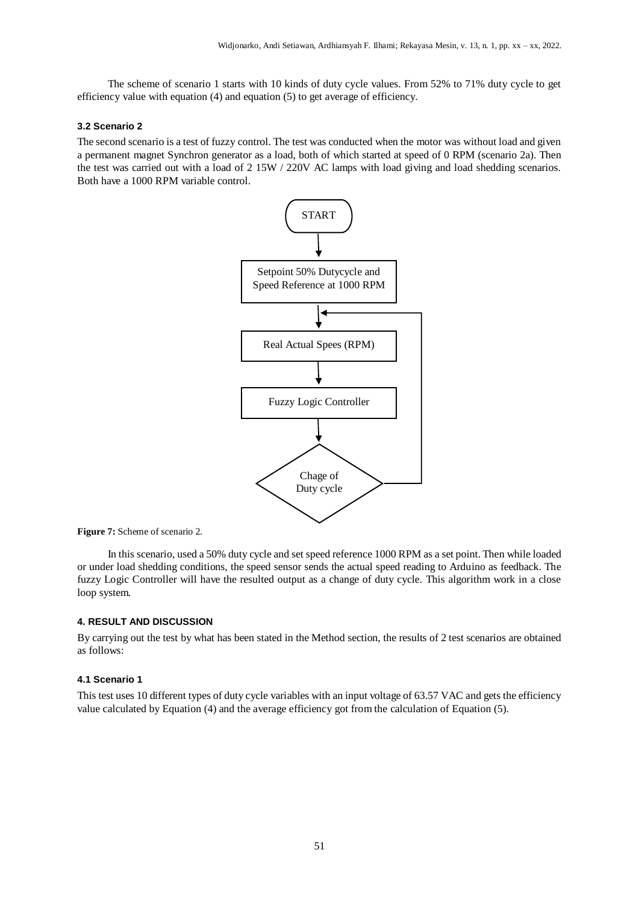The scheme of scenario 1 starts with 10 kinds of duty cycle values. From 52% to 71% duty cycle to get efficiency value with equation (4) and equation (5) to get average of efficiency.

#### **3.2 Scenario 2**

The second scenario is a test of fuzzy control. The test was conducted when the motor was without load and given a permanent magnet Synchron generator as a load, both of which started at speed of 0 RPM (scenario 2a). Then the test was carried out with a load of 2 15W / 220V AC lamps with load giving and load shedding scenarios. Both have a 1000 RPM variable control.



**Figure 7:** Scheme of scenario 2.

In this scenario, used a 50% duty cycle and set speed reference 1000 RPM as a set point. Then while loaded or under load shedding conditions, the speed sensor sends the actual speed reading to Arduino as feedback. The fuzzy Logic Controller will have the resulted output as a change of duty cycle. This algorithm work in a close loop system.

#### **4. RESULT AND DISCUSSION**

By carrying out the test by what has been stated in the Method section, the results of 2 test scenarios are obtained as follows:

#### **4.1 Scenario 1**

This test uses 10 different types of duty cycle variables with an input voltage of 63.57 VAC and gets the efficiency value calculated by Equation (4) and the average efficiency got from the calculation of Equation (5).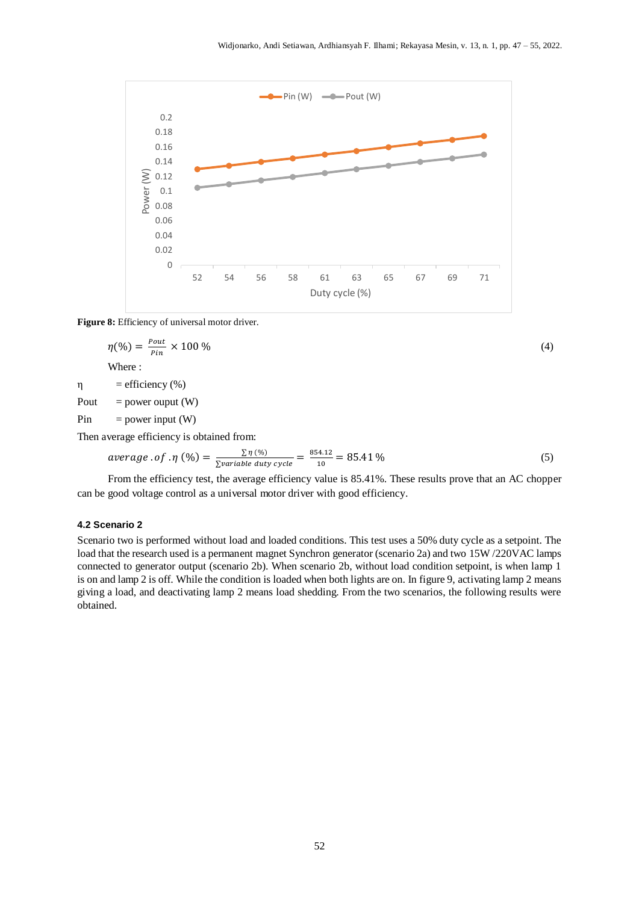

#### **Figure 8:** Efficiency of universal motor driver.

$$
\eta(\%) = \frac{Pout}{Pin} \times 100\%
$$
\nWhere :

\n
$$
\eta = \text{efficiency}(\%)
$$
\n(4)

Pout = power ouput  $(W)$ 

 $Pin = power input (W)$ 

Then average efficiency is obtained from:

$$
average \cdot of \cdot \eta \left( \% \right) = \frac{\sum \eta \left( \% \right)}{\sum variable \text{ duty cycle}} = \frac{854.12}{10} = 85.41\% \tag{5}
$$

From the efficiency test, the average efficiency value is 85.41%. These results prove that an AC chopper can be good voltage control as a universal motor driver with good efficiency.

#### **4.2 Scenario 2**

Scenario two is performed without load and loaded conditions. This test uses a 50% duty cycle as a setpoint. The load that the research used is a permanent magnet Synchron generator (scenario 2a) and two 15W /220VAC lamps connected to generator output (scenario 2b). When scenario 2b, without load condition setpoint, is when lamp 1 is on and lamp 2 is off. While the condition is loaded when both lights are on. In figure 9, activating lamp 2 means giving a load, and deactivating lamp 2 means load shedding. From the two scenarios, the following results were obtained.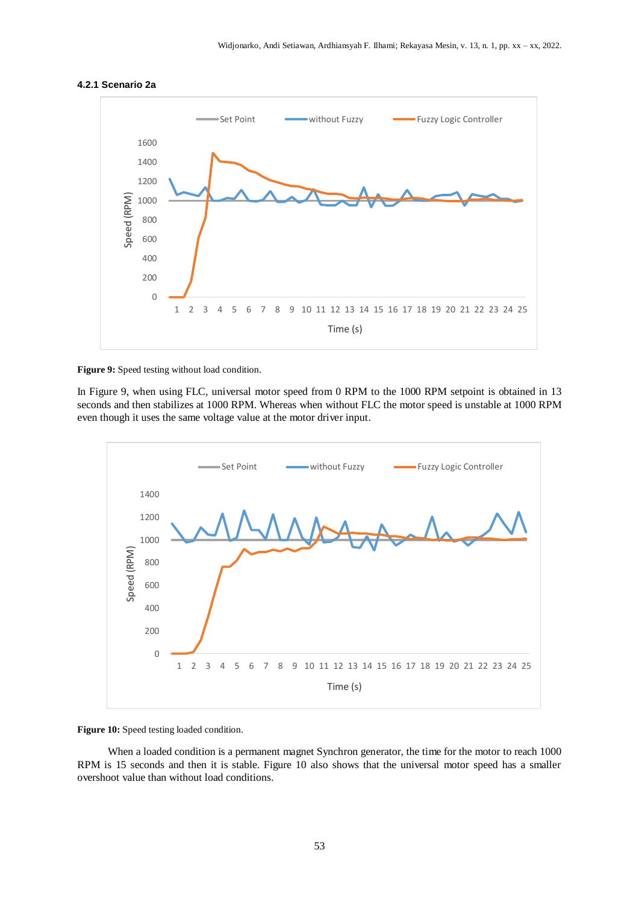

#### **4.2.1 Scenario 2a**



In Figure 9, when using FLC, universal motor speed from 0 RPM to the 1000 RPM setpoint is obtained in 13 seconds and then stabilizes at 1000 RPM. Whereas when without FLC the motor speed is unstable at 1000 RPM even though it uses the same voltage value at the motor driver input.



Figure 10: Speed testing loaded condition.

When a loaded condition is a permanent magnet Synchron generator, the time for the motor to reach 1000 RPM is 15 seconds and then it is stable. Figure 10 also shows that the universal motor speed has a smaller overshoot value than without load conditions.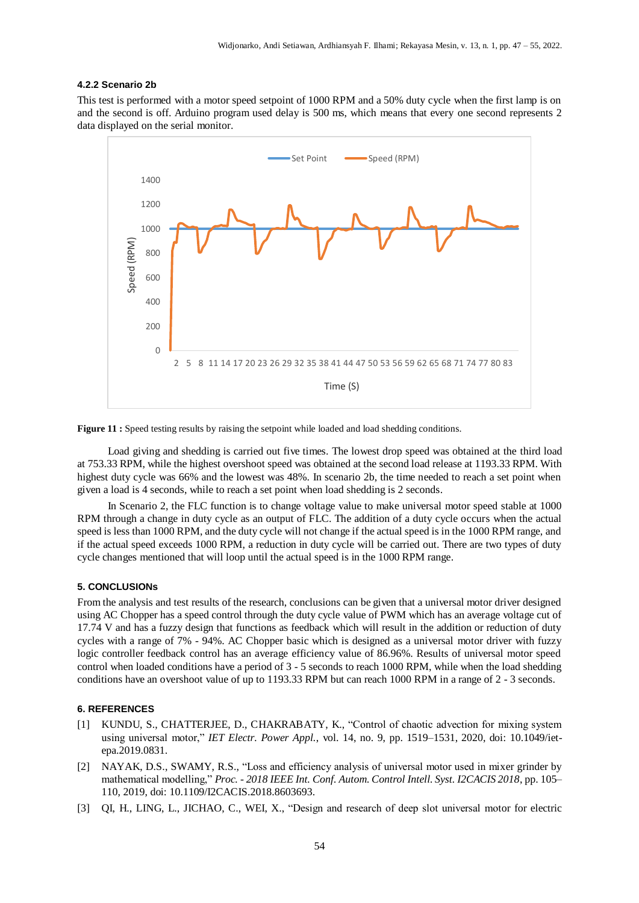#### **4.2.2 Scenario 2b**

This test is performed with a motor speed setpoint of 1000 RPM and a 50% duty cycle when the first lamp is on and the second is off. Arduino program used delay is 500 ms, which means that every one second represents 2 data displayed on the serial monitor.



Figure 11 : Speed testing results by raising the setpoint while loaded and load shedding conditions.

Load giving and shedding is carried out five times. The lowest drop speed was obtained at the third load at 753.33 RPM, while the highest overshoot speed was obtained at the second load release at 1193.33 RPM. With highest duty cycle was 66% and the lowest was 48%. In scenario 2b, the time needed to reach a set point when given a load is 4 seconds, while to reach a set point when load shedding is 2 seconds.

In Scenario 2, the FLC function is to change voltage value to make universal motor speed stable at 1000 RPM through a change in duty cycle as an output of FLC. The addition of a duty cycle occurs when the actual speed is less than 1000 RPM, and the duty cycle will not change if the actual speed is in the 1000 RPM range, and if the actual speed exceeds 1000 RPM, a reduction in duty cycle will be carried out. There are two types of duty cycle changes mentioned that will loop until the actual speed is in the 1000 RPM range.

#### **5. CONCLUSIONs**

From the analysis and test results of the research, conclusions can be given that a universal motor driver designed using AC Chopper has a speed control through the duty cycle value of PWM which has an average voltage cut of 17.74 V and has a fuzzy design that functions as feedback which will result in the addition or reduction of duty cycles with a range of 7% - 94%. AC Chopper basic which is designed as a universal motor driver with fuzzy logic controller feedback control has an average efficiency value of 86.96%. Results of universal motor speed control when loaded conditions have a period of 3 - 5 seconds to reach 1000 RPM, while when the load shedding conditions have an overshoot value of up to 1193.33 RPM but can reach 1000 RPM in a range of 2 - 3 seconds.

#### **6. REFERENCES**

- [1] KUNDU, S., CHATTERJEE, D., CHAKRABATY, K., "Control of chaotic advection for mixing system using universal motor," *IET Electr. Power Appl.*, vol. 14, no. 9, pp. 1519–1531, 2020, doi: 10.1049/ietepa.2019.0831.
- [2] NAYAK, D.S., SWAMY, R.S., "Loss and efficiency analysis of universal motor used in mixer grinder by mathematical modelling," *Proc. - 2018 IEEE Int. Conf. Autom. Control Intell. Syst. I2CACIS 2018*, pp. 105– 110, 2019, doi: 10.1109/I2CACIS.2018.8603693.
- [3] QI, H., LING, L., JICHAO, C., WEI, X., "Design and research of deep slot universal motor for electric